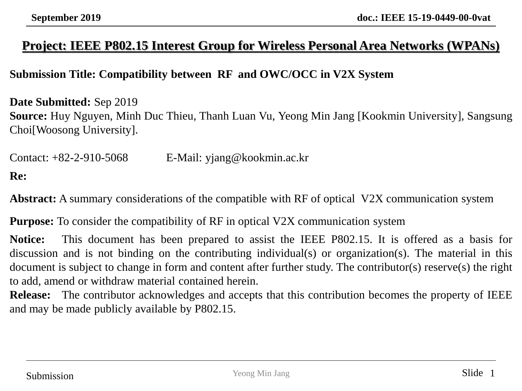#### **Project: IEEE P802.15 Interest Group for Wireless Personal Area Networks (WPANs)**

#### **Submission Title: Compatibility between RF and OWC/OCC in V2X System**

**Date Submitted:** Sep 2019 **Source:** Huy Nguyen, Minh Duc Thieu, Thanh Luan Vu, Yeong Min Jang [Kookmin University], Sangsung Choi[Woosong University].

Contact: +82-2-910-5068 E-Mail: yjang@kookmin.ac.kr **Re:**

**Abstract:** A summary considerations of the compatible with RF of optical V2X communication system

**Purpose:** To consider the compatibility of RF in optical V2X communication system

**Notice:** This document has been prepared to assist the IEEE P802.15. It is offered as a basis for discussion and is not binding on the contributing individual(s) or organization(s). The material in this document is subject to change in form and content after further study. The contributor(s) reserve(s) the right to add, amend or withdraw material contained herein.

**Release:** The contributor acknowledges and accepts that this contribution becomes the property of IEEE and may be made publicly available by P802.15.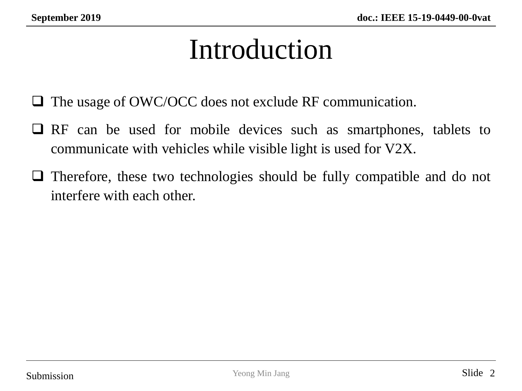# Introduction

- ❑ The usage of OWC/OCC does not exclude RF communication.
- ❑ RF can be used for mobile devices such as smartphones, tablets to communicate with vehicles while visible light is used for V2X.
- ❑ Therefore, these two technologies should be fully compatible and do not interfere with each other.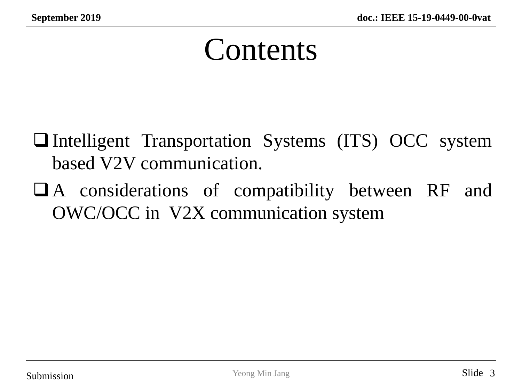# **Contents**

- ❑Intelligent Transportation Systems (ITS) OCC system based V2V communication.
- ❑A considerations of compatibility between RF and OWC/OCC in V2X communication system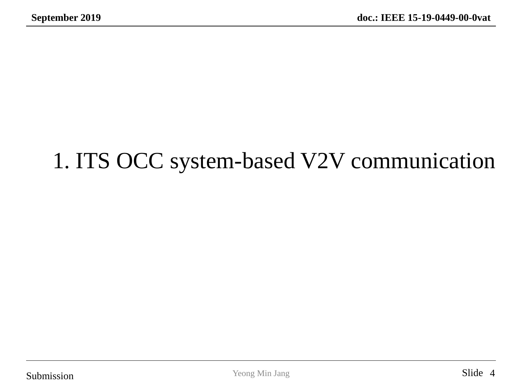### 1. ITS OCC system-based V2V communication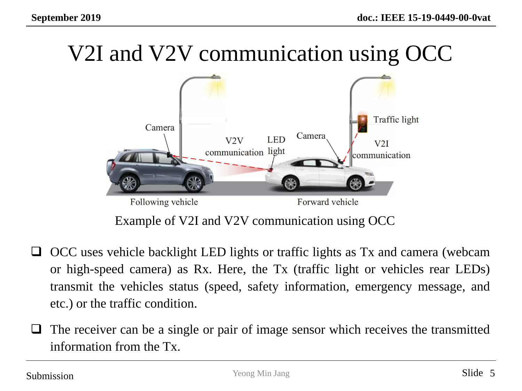# V2I and V2V communication using OCC



Example of V2I and V2V communication using OCC

- ❑ OCC uses vehicle backlight LED lights or traffic lights as Tx and camera (webcam or high-speed camera) as Rx. Here, the Tx (traffic light or vehicles rear LEDs) transmit the vehicles status (speed, safety information, emergency message, and etc.) or the traffic condition.
- ❑ The receiver can be a single or pair of image sensor which receives the transmitted information from the Tx.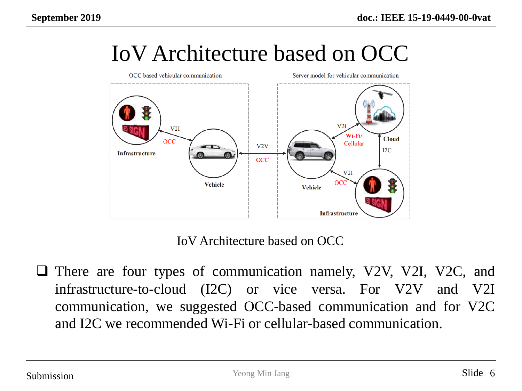

IoV Architecture based on OCC

IoV Architecture based on OCC

❑ There are four types of communication namely, V2V, V2I, V2C, and infrastructure-to-cloud (I2C) or vice versa. For V2V and V2I communication, we suggested OCC-based communication and for V2C and I2C we recommended Wi-Fi or cellular-based communication.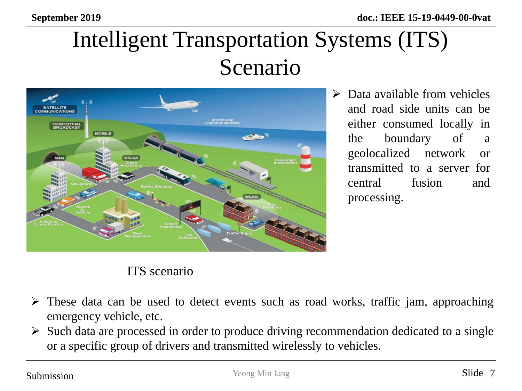# Intelligent Transportation Systems (ITS) Scenario



 $\triangleright$  Data available from vehicles and road side units can be either consumed locally in the boundary of a geolocalized network or transmitted to a server for central fusion and processing.

#### ITS scenario

- $\triangleright$  These data can be used to detect events such as road works, traffic jam, approaching emergency vehicle, etc.
- ➢ Such data are processed in order to produce driving recommendation dedicated to a single or a specific group of drivers and transmitted wirelessly to vehicles.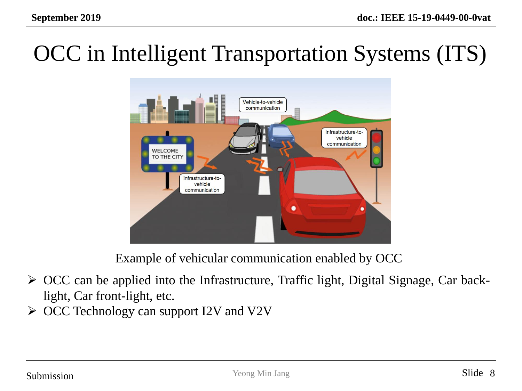# OCC in Intelligent Transportation Systems (ITS)



Example of vehicular communication enabled by OCC

- ➢ OCC can be applied into the Infrastructure, Traffic light, Digital Signage, Car backlight, Car front-light, etc.
- ➢ OCC Technology can support I2V and V2V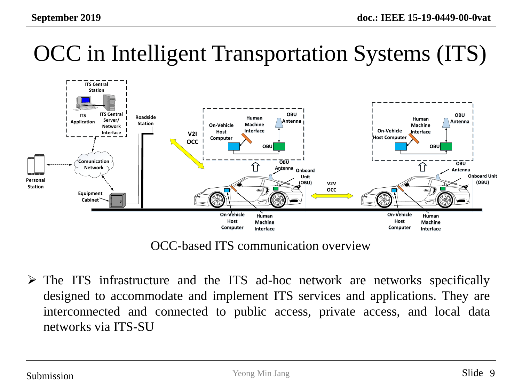# OCC in Intelligent Transportation Systems (ITS)



OCC-based ITS communication overview

➢ The ITS infrastructure and the ITS ad-hoc network are networks specifically designed to accommodate and implement ITS services and applications. They are interconnected and connected to public access, private access, and local data networks via ITS-SU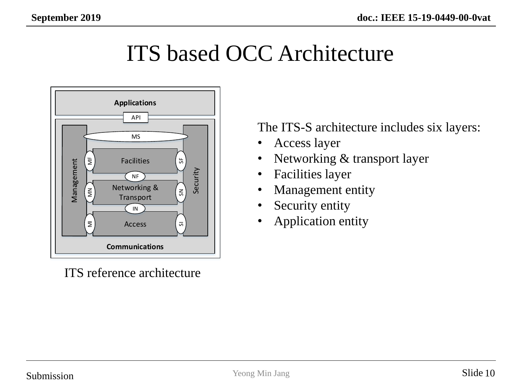#### ITS based OCC Architecture



ITS reference architecture

The ITS-S architecture includes six layers:

- Access layer
- Networking & transport layer
- Facilities layer
- Management entity
- Security entity
- Application entity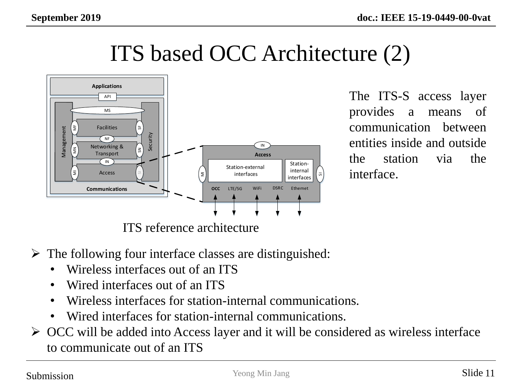### ITS based OCC Architecture (2)



The ITS-S access layer provides a means of communication between entities inside and outside the station via the interface.

ITS reference architecture

- $\triangleright$  The following four interface classes are distinguished:
	- Wireless interfaces out of an ITS
	- Wired interfaces out of an ITS
	- Wireless interfaces for station-internal communications.
	- Wired interfaces for station-internal communications.
- ➢ OCC will be added into Access layer and it will be considered as wireless interface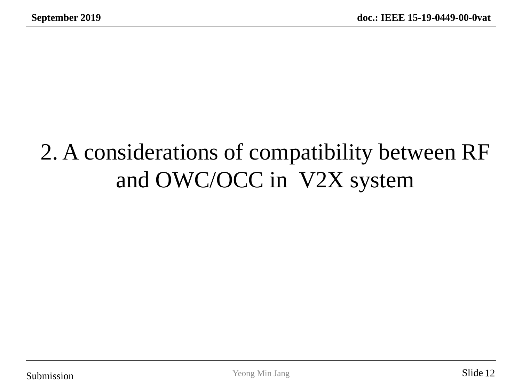# 2. A considerations of compatibility between RF and OWC/OCC in V2X system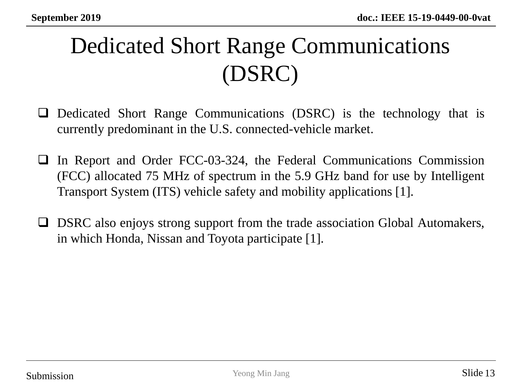# Dedicated Short Range Communications (DSRC)

- ❑ Dedicated Short Range Communications (DSRC) is the technology that is currently predominant in the U.S. connected-vehicle market.
- ❑ In Report and Order FCC-03-324, the Federal Communications Commission (FCC) allocated 75 MHz of spectrum in the 5.9 GHz band for use by Intelligent Transport System (ITS) vehicle safety and mobility applications [1].
- □ DSRC also enjoys strong support from the trade association Global Automakers, in which Honda, Nissan and Toyota participate [1].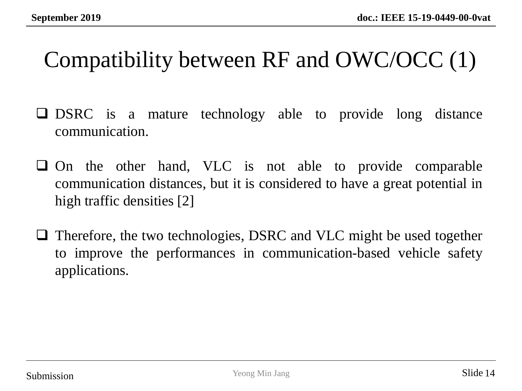### Compatibility between RF and OWC/OCC (1)

- ❑ DSRC is a mature technology able to provide long distance communication.
- ❑ On the other hand, VLC is not able to provide comparable communication distances, but it is considered to have a great potential in high traffic densities [2]
- ❑ Therefore, the two technologies, DSRC and VLC might be used together to improve the performances in communication-based vehicle safety applications.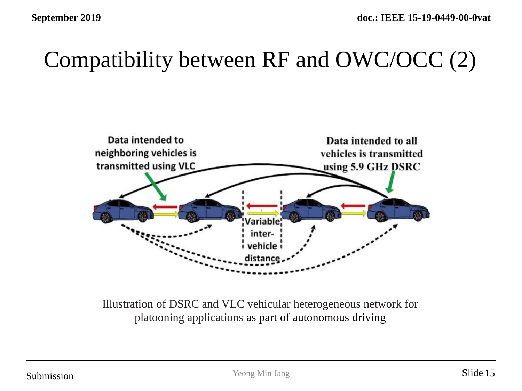#### Compatibility between RF and OWC/OCC (2)



Illustration of DSRC and VLC vehicular heterogeneous network for platooning applications as part of autonomous driving